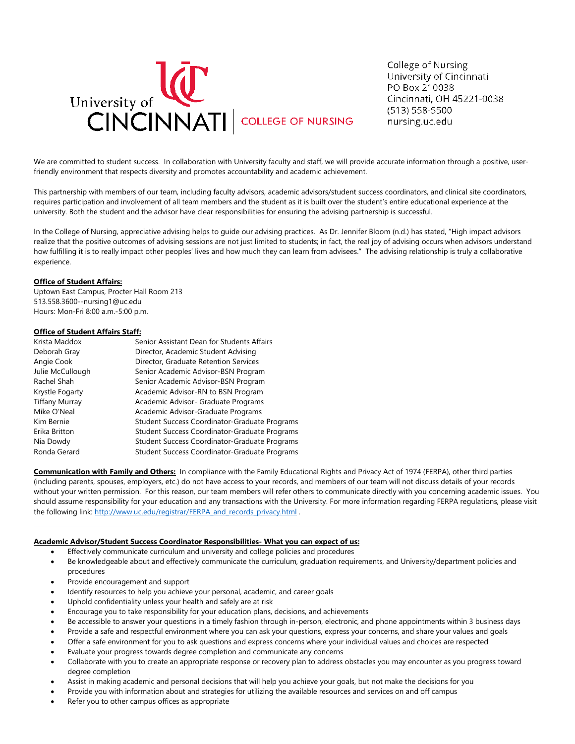

College of Nursing University of Cincinnati PO Box 210038 Cincinnati, OH 45221-0038  $(513) 558 - 5500$ nursing.uc.edu

We are committed to student success. In collaboration with University faculty and staff, we will provide accurate information through a positive, userfriendly environment that respects diversity and promotes accountability and academic achievement.

This partnership with members of our team, including faculty advisors, academic advisors/student success coordinators, and clinical site coordinators, requires participation and involvement of all team members and the student as it is built over the student's entire educational experience at the university. Both the student and the advisor have clear responsibilities for ensuring the advising partnership is successful.

In the College of Nursing, appreciative advising helps to guide our advising practices. As Dr. Jennifer Bloom (n.d.) has stated, "High impact advisors realize that the positive outcomes of advising sessions are not just limited to students; in fact, the real joy of advising occurs when advisors understand how fulfilling it is to really impact other peoples' lives and how much they can learn from advisees." The advising relationship is truly a collaborative experience.

### **Office of Student Affairs:**

Uptown East Campus, Procter Hall Room 213 513.558.3600--nursing1@uc.edu Hours: Mon-Fri 8:00 a.m.-5:00 p.m.

### **Office of Student Affairs Staff:**

| Krista Maddox         | Senior Assistant Dean for Students Affairs    |
|-----------------------|-----------------------------------------------|
|                       |                                               |
| Deborah Gray          | Director, Academic Student Advising           |
| Angie Cook            | Director, Graduate Retention Services         |
| Julie McCullough      | Senior Academic Advisor-BSN Program           |
| Rachel Shah           | Senior Academic Advisor-BSN Program           |
| Krystle Fogarty       | Academic Advisor-RN to BSN Program            |
| <b>Tiffany Murray</b> | Academic Advisor- Graduate Programs           |
| Mike O'Neal           | Academic Advisor-Graduate Programs            |
| Kim Bernie            | Student Success Coordinator-Graduate Programs |
| Erika Britton         | Student Success Coordinator-Graduate Programs |
| Nia Dowdy             | Student Success Coordinator-Graduate Programs |
| Ronda Gerard          | Student Success Coordinator-Graduate Programs |

**Communication with Family and Others:** In compliance with the Family Educational Rights and Privacy Act of 1974 (FERPA), other third parties (including parents, spouses, employers, etc.) do not have access to your records, and members of our team will not discuss details of your records without your written permission. For this reason, our team members will refer others to communicate directly with you concerning academic issues. You should assume responsibility for your education and any transactions with the University. For more information regarding FERPA regulations, please visit the following link: [http://www.uc.edu/registrar/FERPA\\_and\\_records\\_privacy.html](http://www.uc.edu/registrar/FERPA_and_records_privacy.html) .

### **Academic Advisor/Student Success Coordinator Responsibilities- What you can expect of us:**

- Effectively communicate curriculum and university and college policies and procedures
- Be knowledgeable about and effectively communicate the curriculum, graduation requirements, and University/department policies and procedures
- Provide encouragement and support
- Identify resources to help you achieve your personal, academic, and career goals
- Uphold confidentiality unless your health and safely are at risk
- Encourage you to take responsibility for your education plans, decisions, and achievements
- Be accessible to answer your questions in a timely fashion through in-person, electronic, and phone appointments within 3 business days
- Provide a safe and respectful environment where you can ask your questions, express your concerns, and share your values and goals
- Offer a safe environment for you to ask questions and express concerns where your individual values and choices are respected
- Evaluate your progress towards degree completion and communicate any concerns
- Collaborate with you to create an appropriate response or recovery plan to address obstacles you may encounter as you progress toward degree completion
- Assist in making academic and personal decisions that will help you achieve your goals, but not make the decisions for you
- Provide you with information about and strategies for utilizing the available resources and services on and off campus
- Refer you to other campus offices as appropriate